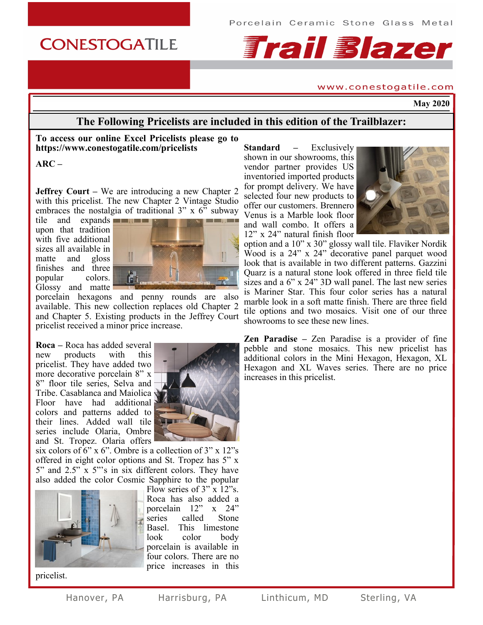# **CONESTOGATILE**



#### www.conestogatile.com

**May 2020**

# **The Following Pricelists are included in this edition of the Trailblazer:**

#### **To access our online Excel Pricelists please go to https://www.conestogatile.com/pricelists**

**ARC –**

**Jeffrey Court –** We are introducing a new Chapter 2 with this pricelist. The new Chapter 2 Vintage Studio embraces the nostalgia of traditional 3" x 6" subway

tile and expands upon that tradition with five additional sizes all available in matte and gloss finishes and three popular colors. Glossy and matte



porcelain hexagons and penny rounds are also available. This new collection replaces old Chapter 2 and Chapter 5. Existing products in the Jeffrey Court pricelist received a minor price increase.

**Roca –** Roca has added several new products with this pricelist. They have added two more decorative porcelain 8" x 8" floor tile series, Selva and Tribe. Casablanca and Maiolica Floor have had additional colors and patterns added to their lines. Added wall tile series include Olaria, Ombre and St. Tropez. Olaria offers



six colors of 6" x 6". Ombre is a collection of 3" x 12"s offered in eight color options and St. Tropez has 5" x  $5"$  and  $2.5"$  x  $5"$ 's in six different colors. They have also added the color Cosmic Sapphire to the popular



pricelist.



**Standard –** Exclusively shown in our showrooms, this vendor partner provides US inventoried imported products for prompt delivery. We have selected four new products to offer our customers. Brennero Venus is a Marble look floor and wall combo. It offers a 12" x 24" natural finish floor



option and a 10" x 30" glossy wall tile. Flaviker Nordik Wood is a 24" x 24" decorative panel parquet wood look that is available in two different patterns. Gazzini Quarz is a natural stone look offered in three field tile sizes and a 6" x 24" 3D wall panel. The last new series is Mariner Star. This four color series has a natural marble look in a soft matte finish. There are three field tile options and two mosaics. Visit one of our three showrooms to see these new lines.

**Zen Paradise –** Zen Paradise is a provider of fine pebble and stone mosaics. This new pricelist has additional colors in the Mini Hexagon, Hexagon, XL Hexagon and XL Waves series. There are no price increases in this pricelist.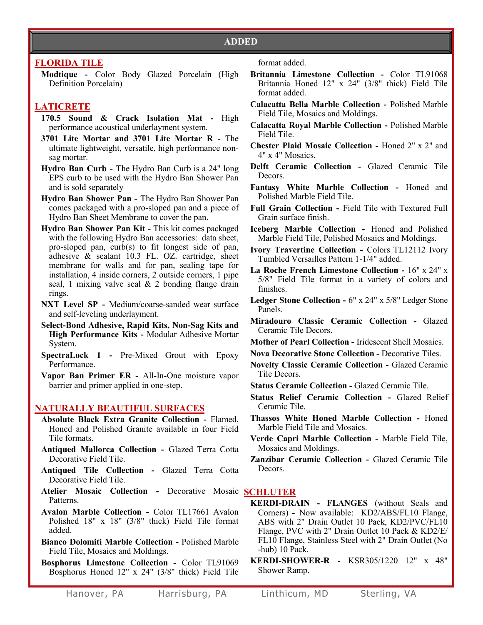# **FLORIDA TILE**

**Modtique -** Color Body Glazed Porcelain (High Definition Porcelain)

# **LATICRETE**

- **170.5 Sound & Crack Isolation Mat -** High performance acoustical underlayment system.
- **3701 Lite Mortar and 3701 Lite Mortar R -** The ultimate lightweight, versatile, high performance nonsag mortar.
- **Hydro Ban Curb -** The Hydro Ban Curb is a 24" long EPS curb to be used with the Hydro Ban Shower Pan and is sold separately
- **Hydro Ban Shower Pan -** The Hydro Ban Shower Pan comes packaged with a pro-sloped pan and a piece of Hydro Ban Sheet Membrane to cover the pan.
- **Hydro Ban Shower Pan Kit -** This kit comes packaged with the following Hydro Ban accessories: data sheet, pro-sloped pan, curb(s) to fit longest side of pan, adhesive & sealant 10.3 FL. OZ. cartridge, sheet membrane for walls and for pan, sealing tape for installation, 4 inside corners, 2 outside corners, 1 pipe seal, 1 mixing valve seal & 2 bonding flange drain rings.
- **NXT Level SP -** Medium/coarse-sanded wear surface and self-leveling underlayment.
- **Select-Bond Adhesive, Rapid Kits, Non-Sag Kits and High Performance Kits -** Modular Adhesive Mortar System.
- **SpectraLock 1 -** Pre-Mixed Grout with Epoxy Performance.
- **Vapor Ban Primer ER -** All-In-One moisture vapor barrier and primer applied in one-step.

# **NATURALLY BEAUTIFUL SURFACES**

- **Absolute Black Extra Granite Collection -** Flamed, Honed and Polished Granite available in four Field Tile formats.
- **Antiqued Mallorca Collection -** Glazed Terra Cotta Decorative Field Tile.
- **Antiqued Tile Collection -** Glazed Terra Cotta Decorative Field Tile.
- **Atelier Mosaic Collection -** Decorative Mosaic **SCHLUTER** Patterns.
- **Avalon Marble Collection -** Color TL17661 Avalon Polished 18" x 18" (3/8" thick) Field Tile format added.
- **Bianco Dolomiti Marble Collection -** Polished Marble Field Tile, Mosaics and Moldings.
- **Bosphorus Limestone Collection -** Color TL91069 Bosphorus Honed 12" x 24" (3/8" thick) Field Tile
- **Britannia Limestone Collection -** Color TL91068 Britannia Honed 12" x 24" (3/8" thick) Field Tile format added.
- **Calacatta Bella Marble Collection -** Polished Marble Field Tile, Mosaics and Moldings.
- **Calacatta Royal Marble Collection -** Polished Marble Field Tile.
- **Chester Plaid Mosaic Collection -** Honed 2" x 2" and 4" x 4" Mosaics.
- **Delft Ceramic Collection -** Glazed Ceramic Tile Decors.
- **Fantasy White Marble Collection -** Honed and Polished Marble Field Tile.
- **Full Grain Collection -** Field Tile with Textured Full Grain surface finish.
- **Iceberg Marble Collection -** Honed and Polished Marble Field Tile, Polished Mosaics and Moldings.
- **Ivory Travertine Collection -** Colors TL12112 Ivory Tumbled Versailles Pattern 1-1/4" added.
- **La Roche French Limestone Collection -** 16" x 24" x 5/8" Field Tile format in a variety of colors and finishes.
- **Ledger Stone Collection -** 6" x 24" x 5/8" Ledger Stone Panels.
- **Miradouro Classic Ceramic Collection -** Glazed Ceramic Tile Decors.
- **Mother of Pearl Collection -** Iridescent Shell Mosaics.
- **Nova Decorative Stone Collection -** Decorative Tiles.
- **Novelty Classic Ceramic Collection -** Glazed Ceramic Tile Decors.
- **Status Ceramic Collection -** Glazed Ceramic Tile.
- **Status Relief Ceramic Collection -** Glazed Relief Ceramic Tile.
- **Thassos White Honed Marble Collection -** Honed Marble Field Tile and Mosaics.
- **Verde Capri Marble Collection -** Marble Field Tile, Mosaics and Moldings.
- **Zanzibar Ceramic Collection -** Glazed Ceramic Tile Decors.

- **KERDI-DRAIN - FLANGES** (without Seals and Corners) **-** Now available: KD2/ABS/FL10 Flange, ABS with 2" Drain Outlet 10 Pack, KD2/PVC/FL10 Flange, PVC with 2" Drain Outlet 10 Pack & KD2/E/ FL10 Flange, Stainless Steel with 2" Drain Outlet (No -hub) 10 Pack.
- **KERDI-SHOWER-R -** KSR305/1220 12" x 48" Shower Ramp.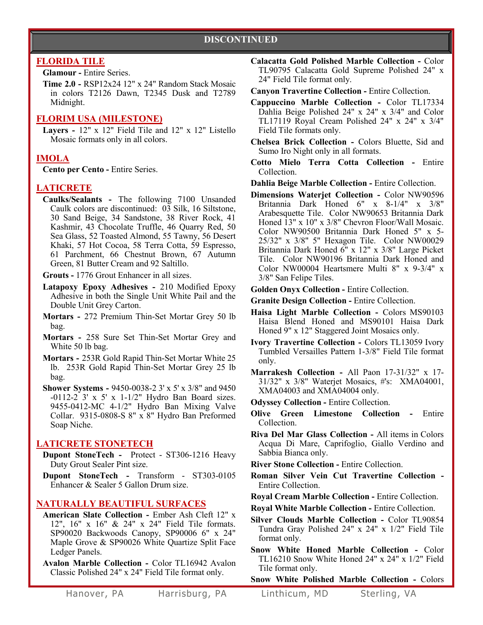# **DISCONTINUED**

# **FLORIDA TILE**

#### **Glamour -** Entire Series.

**Time 2.0 -** RSP12x24 12" x 24" Random Stack Mosaic in colors T2126 Dawn, T2345 Dusk and T2789 Midnight.

#### **FLORIM USA (MILESTONE)**

**Layers -** 12" x 12" Field Tile and 12" x 12" Listello Mosaic formats only in all colors.

# **IMOLA**

**Cento per Cento -** Entire Series.

## **LATICRETE**

**Caulks/Sealants -** The following 7100 Unsanded Caulk colors are discontinued: 03 Silk, 16 Siltstone, 30 Sand Beige, 34 Sandstone, 38 River Rock, 41 Kashmir, 43 Chocolate Truffle, 46 Quarry Red, 50 Sea Glass, 52 Toasted Almond, 55 Tawny, 56 Desert Khaki, 57 Hot Cocoa, 58 Terra Cotta, 59 Espresso, 61 Parchment, 66 Chestnut Brown, 67 Autumn Green, 81 Butter Cream and 92 Saltillo.

**Grouts -** 1776 Grout Enhancer in all sizes.

- **Latapoxy Epoxy Adhesives -** 210 Modified Epoxy Adhesive in both the Single Unit White Pail and the Double Unit Grey Carton.
- **Mortars -** 272 Premium Thin-Set Mortar Grey 50 lb bag.
- **Mortars -** 258 Sure Set Thin-Set Mortar Grey and White 50 lb bag.
- **Mortars -** 253R Gold Rapid Thin-Set Mortar White 25 lb. 253R Gold Rapid Thin-Set Mortar Grey 25 lb bag.
- **Shower Systems -** 9450-0038-2 3' x 5' x 3/8" and 9450 -0112-2 3' x 5' x 1-1/2" Hydro Ban Board sizes. 9455-0412-MC 4-1/2" Hydro Ban Mixing Valve Collar. 9315-0808-S 8" x 8" Hydro Ban Preformed Soap Niche.

### **LATICRETE STONETECH**

- **Dupont StoneTech -** Protect ST306-1216 Heavy Duty Grout Sealer Pint size.
- **Dupont StoneTech -** Transform ST303-0105 Enhancer & Sealer 5 Gallon Drum size.

### **NATURALLY BEAUTIFUL SURFACES**

- **American Slate Collection -** Ember Ash Cleft 12" x 12", 16" x 16" & 24" x 24" Field Tile formats. SP90020 Backwoods Canopy, SP90006 6" x 24" Maple Grove & SP90026 White Quartize Split Face Ledger Panels.
- **Avalon Marble Collection -** Color TL16942 Avalon Classic Polished 24" x 24" Field Tile format only.
- **Calacatta Gold Polished Marble Collection -** Color TL90795 Calacatta Gold Supreme Polished 24" x 24" Field Tile format only.
- **Canyon Travertine Collection -** Entire Collection.
- **Cappuccino Marble Collection -** Color TL17334 Dahlia Beige Polished 24" x 24" x 3/4" and Color TL17119 Royal Cream Polished 24" x 24" x 3/4" Field Tile formats only.
- **Chelsea Brick Collection -** Colors Bluette, Sid and Sumo Iro Night only in all formats.
- **Cotto Mielo Terra Cotta Collection -** Entire Collection.
- **Dahlia Beige Marble Collection -** Entire Collection.
- **Dimensions Waterjet Collection -** Color NW90596 Britannia Dark Honed 6" x 8-1/4" x 3/8" Arabesquette Tile. Color NW90653 Britannia Dark Honed 13" x 10" x 3/8" Chevron Floor/Wall Mosaic. Color NW90500 Britannia Dark Honed 5" x 5- 25/32" x 3/8" 5" Hexagon Tile. Color NW00029 Britannia Dark Honed 6" x 12" x 3/8" Large Picket Tile. Color NW90196 Britannia Dark Honed and Color NW00004 Heartsmere Multi 8" x 9-3/4" x 3/8" San Felipe Tiles.
- **Golden Onyx Collection -** Entire Collection.
- **Granite Design Collection -** Entire Collection.
- **Haisa Light Marble Collection -** Colors MS90103 Haisa Blend Honed and MS90101 Haisa Dark Honed 9" x 12" Staggered Joint Mosaics only.
- **Ivory Travertine Collection -** Colors TL13059 Ivory Tumbled Versailles Pattern 1-3/8" Field Tile format only.
- **Marrakesh Collection -** All Paon 17-31/32" x 17- 31/32" x 3/8" Waterjet Mosaics, #'s: XMA04001, XMA04003 and XMA04004 only.

**Odyssey Collection -** Entire Collection.

**Olive Green Limestone Collection -** Entire Collection.

**Riva Del Mar Glass Collection -** All items in Colors Acqua Di Mare, Caprifoglio, Giallo Verdino and Sabbia Bianca only.

**River Stone Collection -** Entire Collection.

**Roman Silver Vein Cut Travertine Collection -** Entire Collection.

**Royal Cream Marble Collection -** Entire Collection.

**Royal White Marble Collection -** Entire Collection.

**Silver Clouds Marble Collection -** Color TL90854 Tundra Gray Polished 24" x 24" x 1/2" Field Tile format only.

**Snow White Honed Marble Collection -** Color TL16210 Snow White Honed 24" x 24" x 1/2" Field Tile format only.

**Snow White Polished Marble Collection -** Colors